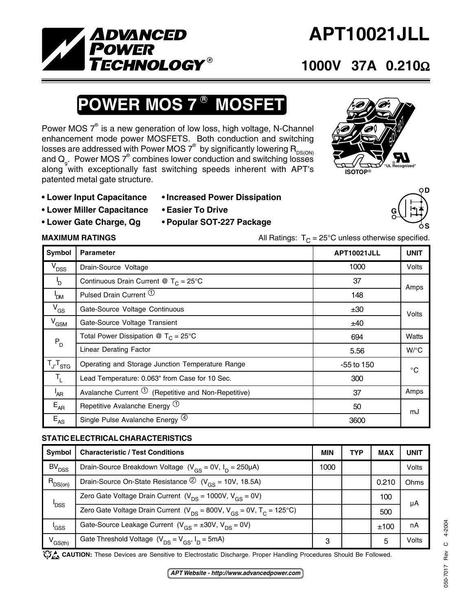

# **APT10021JLL**

### **1000V 37A 0.210**Ω

## **POWER MOS 7<sup>®</sup> MOSFET**

Power MOS  $7^\circ$  is a new generation of low loss, high voltage, N-Channel enhancement mode power MOSFETS. Both conduction and switching losses are addressed with Power MOS  $7^\circ$  by significantly lowering  $\mathsf{R}_{\mathsf{DS(ON)}}$ and  $\mathsf{Q}_{\mathsf{g}}$ . Power MOS  $7^\circ$  combines lower conduction and switching losses along with exceptionally fast switching speeds inherent with APT's patented metal gate structure.



**G**

- **Lower Input Capacitance Increased Power Dissipation**
- **Lower Miller Capacitance Easier To Drive**
	-
- **Lower Gate Charge, Qg Popular SOT-227 Package**

**MAXIMUM RATINGS** MAXIMUM RATINGS All Ratings:  $T_C = 25^\circ \text{C}$  unless otherwise specified.

| <b>Symbol</b>       | <b>Parameter</b>                                                | APT10021JLL  | <b>UNIT</b>  |  |
|---------------------|-----------------------------------------------------------------|--------------|--------------|--|
| V <sub>DSS</sub>    | Drain-Source Voltage                                            | 1000         | <b>Volts</b> |  |
| b                   | Continuous Drain Current @ $T_c = 25^{\circ}$ C                 | 37           | Amps         |  |
| <b>POM</b>          | Pulsed Drain Current $\Phi$                                     | 148          |              |  |
| $V_{GS}$            | Gate-Source Voltage Continuous                                  | ±30          | Volts        |  |
| $V_{GSM}$           | Gate-Source Voltage Transient                                   | ±40          |              |  |
| $P_{D}$             | Total Power Dissipation $\circledR$ T <sub>C</sub> = 25°C       | 694          | Watts        |  |
|                     | <b>Linear Derating Factor</b>                                   | 5.56         | $W$ /°C      |  |
| $T_{J}$ , $T_{STG}$ | Operating and Storage Junction Temperature Range                | $-55$ to 150 | $^{\circ}$ C |  |
| $T_{L}$             | Lead Temperature: 0.063" from Case for 10 Sec.                  | 300          |              |  |
| <sup>I</sup> AR     | Avalanche Current $\mathcal{D}$ (Repetitive and Non-Repetitive) | 37           | Amps         |  |
| $E_{AR}$            | Repetitive Avalanche Energy <sup>(1)</sup>                      | 50           | mJ           |  |
| $E_{AS}$            | Single Pulse Avalanche Energy <sup>(4)</sup>                    | 3600         |              |  |

### **STATIC ELECTRICAL CHARACTERISTICS**

| Symbol             | <b>Characteristic / Test Conditions</b>                                            | <b>MIN</b> | <b>TYP</b> | <b>MAX</b> | <b>UNIT</b> |
|--------------------|------------------------------------------------------------------------------------|------------|------------|------------|-------------|
| BV <sub>DSS</sub>  | Drain-Source Breakdown Voltage ( $V_{GS}$ = 0V, $I_D$ = 250µA)                     | 1000       |            |            | Volts       |
| $R_{DS(on)}$       | Drain-Source On-State Resistance $\textcircled{2}$ (V <sub>GS</sub> = 10V, 18.5A)  |            |            | 0.210      | Ohms        |
| ' <sub>DSS</sub>   | Zero Gate Voltage Drain Current ( $V_{DS}$ = 1000V, $V_{GS}$ = 0V)                 |            |            | 100        | μA          |
|                    | Zero Gate Voltage Drain Current ( $V_{DS}$ = 800V, $V_{GS}$ = 0V, $T_{C}$ = 125°C) |            |            | 500        |             |
| 'GSS               | Gate-Source Leakage Current $(V_{GS} = \pm 30V, V_{DS} = 0V)$                      |            |            | ±100       | nA          |
| $V^{\text{GS(h)}}$ | Gate Threshold Voltage $(V_{DS} = V_{GS}, I_D = 5mA)$                              | 3          |            | 5          | Volts       |

CAUTION: These Devices are Sensitive to Electrostatic Discharge. Proper Handling Procedures Should Be Followed.

**D**

**S**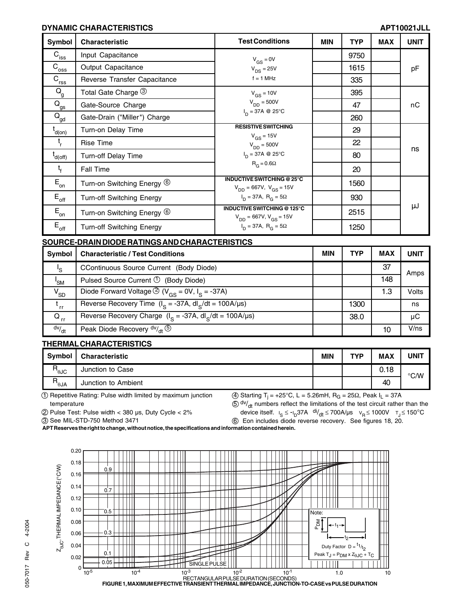#### **DYNAMIC CHARACTERISTICS APT10021JLL**

| Symbol                                 | <b>Characteristic</b>            | <b>Test Conditions</b>                                                | <b>MIN</b> | <b>TYP</b> | <b>MAX</b> | <b>UNIT</b> |
|----------------------------------------|----------------------------------|-----------------------------------------------------------------------|------------|------------|------------|-------------|
| $C_{\underline{\text{iss}}}$           | Input Capacitance                | $V_{GS} = 0V$                                                         |            | 9750       |            |             |
| $\overline{C}_{\overline{\text{oss}}}$ | Output Capacitance               | $V_{DS} = 25V$                                                        |            | 1615       |            | pF          |
| $\overline{C}_{\text{rss}}$            | Reverse Transfer Capacitance     | $f = 1$ MHz                                                           |            | 335        |            |             |
| $\mathsf{Q}_{\mathsf{g}}$              | Total Gate Charge 3              | $V_{GS} = 10V$                                                        |            | 395        |            |             |
| $Q_{gs}$                               | Gate-Source Charge               | $V_{DD} = 500V$                                                       |            | 47         |            | nC          |
| $Q_{\text{gd}}$                        | Gate-Drain ("Miller") Charge     | $I_{D} = 37A$ @ 25°C                                                  |            | 260        |            |             |
| $t_{d(on)}$                            | Turn-on Delay Time               | <b>RESISTIVE SWITCHING</b><br>$V_{GS}$ = 15V                          |            | 29         |            |             |
| t,                                     | Rise Time                        | $V_{DD} = 500V$                                                       |            | 22         |            |             |
| $t_{d(off)}$                           | <b>Turn-off Delay Time</b>       | $I_{D} = 37A \otimes 25^{\circ}C$<br>$R_G = 0.6\Omega$                |            | 80         |            | ns          |
| $t_{f}$                                | <b>Fall Time</b>                 |                                                                       |            | 20         |            |             |
| $\mathsf{E}_{\mathsf{on}}$             | Turn-on Switching Energy 6       | <b>INDUCTIVE SWITCHING @ 25°C</b><br>$V_{DD} = 667V$ , $V_{GS} = 15V$ |            | 1560       |            |             |
| $E_{\rm off}$                          | <b>Turn-off Switching Energy</b> | $I_D = 37A$ , $R_G = 5\Omega$                                         |            | 930        |            |             |
| $E_{on}$                               | Turn-on Switching Energy 6       | INDUCTIVE SWITCHING @ 125°C<br>$V_{DD} = 667V$ , $V_{GS} = 15V$       |            | 2515       |            | μJ          |
| $E_{\rm off}$                          | <b>Turn-off Switching Energy</b> | $I_D = 37A$ , $R_G = 5\Omega$                                         |            | 1250       |            |             |

#### **SOURCE-DRAIN DIODE RATINGS AND CHARACTERISTICS**

| Symbol          | <b>Characteristic / Test Conditions</b>                                           | <b>MIN</b> | <b>TYP</b> | <b>MAX</b> | <b>UNIT</b> |
|-----------------|-----------------------------------------------------------------------------------|------------|------------|------------|-------------|
| 's              | CContinuous Source Current (Body Diode)                                           |            |            | 37         | Amps        |
| $I_{\text{SM}}$ | Pulsed Source Current $\mathcal{D}$ (Body Diode)                                  |            |            | 148        |             |
| $V_{SD}$        | Diode Forward Voltage $\circled{2}$ (V <sub>GS</sub> = 0V, I <sub>S</sub> = -37A) |            |            | 1.3        | Volts       |
| ' rr            | Reverse Recovery Time $(I_S = -37A, dl_S/dt = 100A/\mu s)$                        |            | 1300       |            | ns          |
| $Q_{rr}$        | Reverse Recovery Charge ( $I_s = -37A$ , dl <sub>s</sub> /dt = 100A/µs)           |            | 38.0       |            | μC          |
| dv/dt           | Peak Diode Recovery $dv/dt$ $\circled{5}$                                         |            |            | 10         | V/ns        |

#### **THERMAL CHARACTERISTICS**

| Symbol                | <b>Characteristic</b> | <b>MIN</b> | TVD | <b>MAX</b> | UNIT          |
|-----------------------|-----------------------|------------|-----|------------|---------------|
| R<br>'θJC             | Junction to Case      |            |     | 0.18       | $\degree$ C/W |
| R<br>$A \cup \theta'$ | Junction to Ambient   |            |     | 40         |               |

1 Repetitive Rating: Pulse width limited by maximum junction temperature

 $(4)$  Starting T<sub>i</sub> = +25°C, L = 5.26mH, R<sub>G</sub> = 25 $\Omega$ , Peak I<sub>L</sub> = 37A  $50$  dv/<sub>dt</sub> numbers reflect the limitations of the test circuit rather than the

2 Pulse Test: Pulse width < 380 µs, Duty Cycle < 2%

device itself.  $I_S \le -I_D$ 37A  $\frac{di}{dt}$  ≤ 700A/µs  $V_R \le 1000V$   $T_J \le 150^{\circ}$ C 6 Eon includes diode reverse recovery. See figures 18, 20.

3 See MIL-STD-750 Method 3471



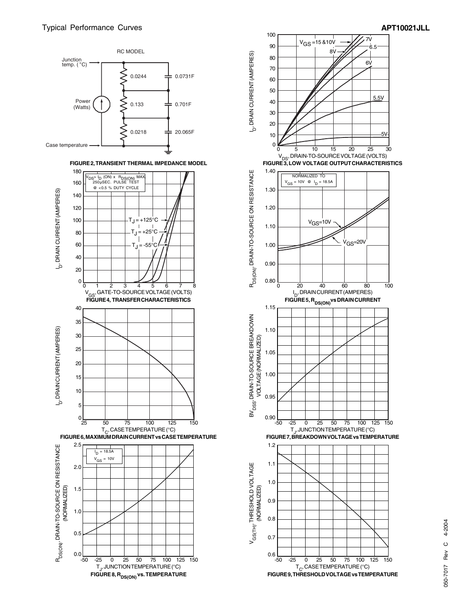



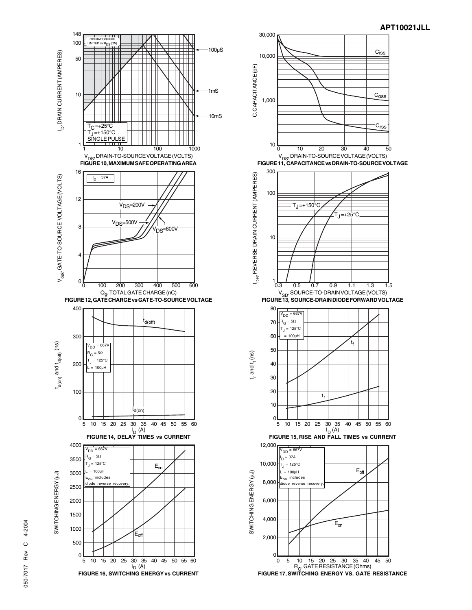